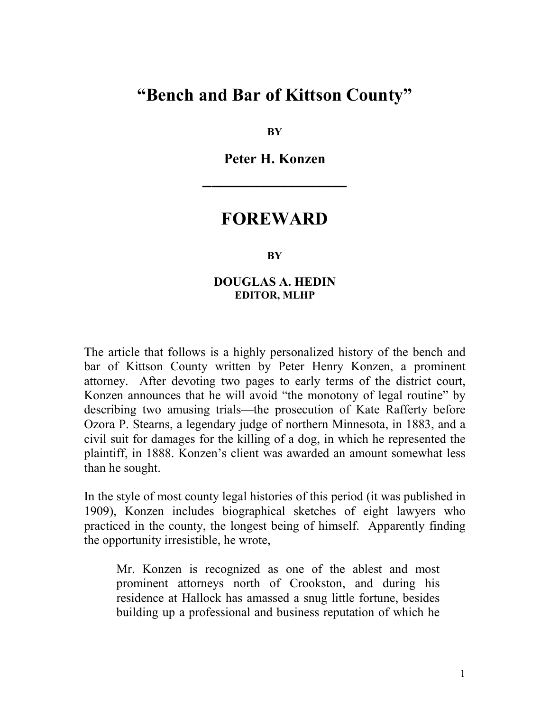## "Bench and Bar of Kittson County"

**BY** 

Peter H. Konzen

 $\overline{\phantom{a}}$  , where  $\overline{\phantom{a}}$ 

### FOREWARD

#### **BY**

### DOUGLAS A. HEDIN EDITOR, MLHP

The article that follows is a highly personalized history of the bench and bar of Kittson County written by Peter Henry Konzen, a prominent attorney. After devoting two pages to early terms of the district court, Konzen announces that he will avoid "the monotony of legal routine" by describing two amusing trials—the prosecution of Kate Rafferty before Ozora P. Stearns, a legendary judge of northern Minnesota, in 1883, and a civil suit for damages for the killing of a dog, in which he represented the plaintiff, in 1888. Konzen's client was awarded an amount somewhat less than he sought.

In the style of most county legal histories of this period (it was published in 1909), Konzen includes biographical sketches of eight lawyers who practiced in the county, the longest being of himself. Apparently finding the opportunity irresistible, he wrote,

Mr. Konzen is recognized as one of the ablest and most prominent attorneys north of Crookston, and during his residence at Hallock has amassed a snug little fortune, besides building up a professional and business reputation of which he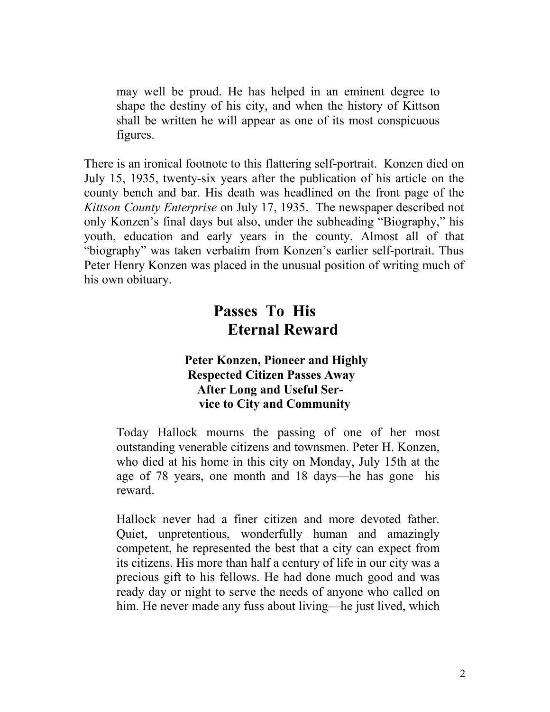may well be proud. He has helped in an eminent degree to shape the destiny of his city, and when the history of Kittson shall be written he will appear as one of its most conspicuous figures.

There is an ironical footnote to this flattering self-portrait. Konzen died on July 15, 1935, twenty-six years after the publication of his article on the county bench and bar. His death was headlined on the front page of the Kittson County Enterprise on July 17, 1935. The newspaper described not only Konzen's final days but also, under the subheading "Biography," his youth, education and early years in the county. Almost all of that "biography" was taken verbatim from Konzen's earlier self-portrait. Thus Peter Henry Konzen was placed in the unusual position of writing much of his own obituary.

## Passes To His Eternal Reward

### Peter Konzen, Pioneer and Highly Respected Citizen Passes Away After Long and Useful Service to City and Community

Today Hallock mourns the passing of one of her most outstanding venerable citizens and townsmen. Peter H. Konzen, who died at his home in this city on Monday, July 15th at the age of 78 years, one month and 18 days—he has gone his reward.

Hallock never had a finer citizen and more devoted father. Quiet, unpretentious, wonderfully human and amazingly competent, he represented the best that a city can expect from its citizens. His more than half a century of life in our city was a precious gift to his fellows. He had done much good and was ready day or night to serve the needs of anyone who called on him. He never made any fuss about living—he just lived, which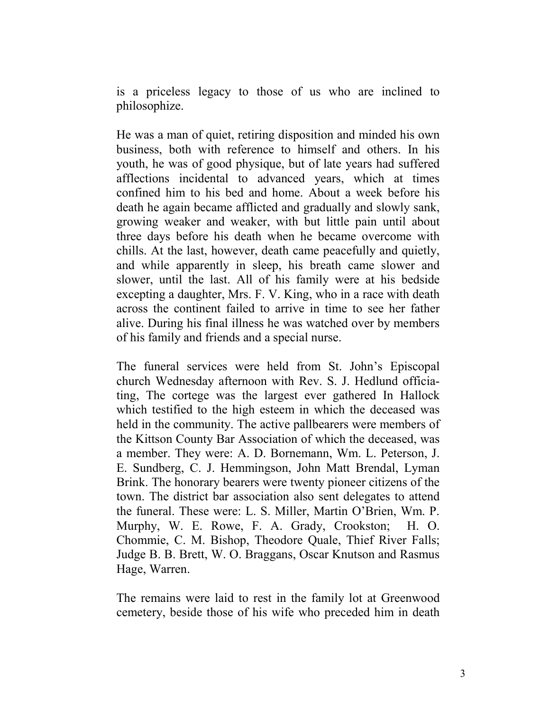is a priceless legacy to those of us who are inclined to philosophize.

He was a man of quiet, retiring disposition and minded his own business, both with reference to himself and others. In his youth, he was of good physique, but of late years had suffered afflections incidental to advanced years, which at times confined him to his bed and home. About a week before his death he again became afflicted and gradually and slowly sank, growing weaker and weaker, with but little pain until about three days before his death when he became overcome with chills. At the last, however, death came peacefully and quietly, and while apparently in sleep, his breath came slower and slower, until the last. All of his family were at his bedside excepting a daughter, Mrs. F. V. King, who in a race with death across the continent failed to arrive in time to see her father alive. During his final illness he was watched over by members of his family and friends and a special nurse.

The funeral services were held from St. John's Episcopal church Wednesday afternoon with Rev. S. J. Hedlund officiating, The cortege was the largest ever gathered In Hallock which testified to the high esteem in which the deceased was held in the community. The active pallbearers were members of the Kittson County Bar Association of which the deceased, was a member. They were: A. D. Bornemann, Wm. L. Peterson, J. E. Sundberg, C. J. Hemmingson, John Matt Brendal, Lyman Brink. The honorary bearers were twenty pioneer citizens of the town. The district bar association also sent delegates to attend the funeral. These were: L. S. Miller, Martin O'Brien, Wm. P. Murphy, W. E. Rowe, F. A. Grady, Crookston; H. O. Chommie, C. M. Bishop, Theodore Quale, Thief River Falls; Judge B. B. Brett, W. O. Braggans, Oscar Knutson and Rasmus Hage, Warren.

The remains were laid to rest in the family lot at Greenwood cemetery, beside those of his wife who preceded him in death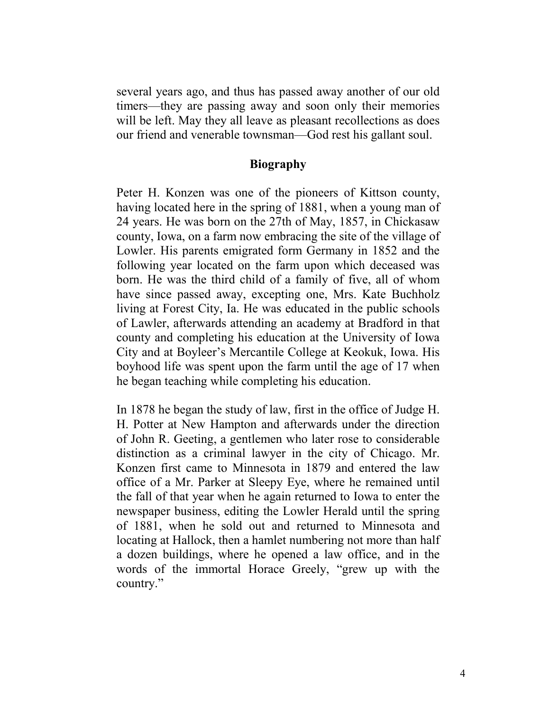several years ago, and thus has passed away another of our old timers—they are passing away and soon only their memories will be left. May they all leave as pleasant recollections as does our friend and venerable townsman—God rest his gallant soul.

### Biography

Peter H. Konzen was one of the pioneers of Kittson county, having located here in the spring of 1881, when a young man of 24 years. He was born on the 27th of May, 1857, in Chickasaw county, Iowa, on a farm now embracing the site of the village of Lowler. His parents emigrated form Germany in 1852 and the following year located on the farm upon which deceased was born. He was the third child of a family of five, all of whom have since passed away, excepting one, Mrs. Kate Buchholz living at Forest City, Ia. He was educated in the public schools of Lawler, afterwards attending an academy at Bradford in that county and completing his education at the University of Iowa City and at Boyleer's Mercantile College at Keokuk, Iowa. His boyhood life was spent upon the farm until the age of 17 when he began teaching while completing his education.

In 1878 he began the study of law, first in the office of Judge H. H. Potter at New Hampton and afterwards under the direction of John R. Geeting, a gentlemen who later rose to considerable distinction as a criminal lawyer in the city of Chicago. Mr. Konzen first came to Minnesota in 1879 and entered the law office of a Mr. Parker at Sleepy Eye, where he remained until the fall of that year when he again returned to Iowa to enter the newspaper business, editing the Lowler Herald until the spring of 1881, when he sold out and returned to Minnesota and locating at Hallock, then a hamlet numbering not more than half a dozen buildings, where he opened a law office, and in the words of the immortal Horace Greely, "grew up with the country."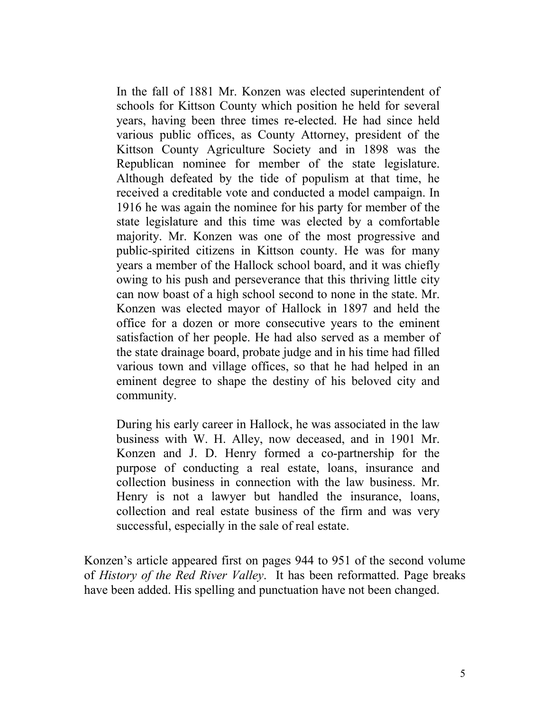In the fall of 1881 Mr. Konzen was elected superintendent of schools for Kittson County which position he held for several years, having been three times re-elected. He had since held various public offices, as County Attorney, president of the Kittson County Agriculture Society and in 1898 was the Republican nominee for member of the state legislature. Although defeated by the tide of populism at that time, he received a creditable vote and conducted a model campaign. In 1916 he was again the nominee for his party for member of the state legislature and this time was elected by a comfortable majority. Mr. Konzen was one of the most progressive and public-spirited citizens in Kittson county. He was for many years a member of the Hallock school board, and it was chiefly owing to his push and perseverance that this thriving little city can now boast of a high school second to none in the state. Mr. Konzen was elected mayor of Hallock in 1897 and held the office for a dozen or more consecutive years to the eminent satisfaction of her people. He had also served as a member of the state drainage board, probate judge and in his time had filled various town and village offices, so that he had helped in an eminent degree to shape the destiny of his beloved city and community.

During his early career in Hallock, he was associated in the law business with W. H. Alley, now deceased, and in 1901 Mr. Konzen and J. D. Henry formed a co-partnership for the purpose of conducting a real estate, loans, insurance and collection business in connection with the law business. Mr. Henry is not a lawyer but handled the insurance, loans, collection and real estate business of the firm and was very successful, especially in the sale of real estate.

Konzen's article appeared first on pages 944 to 951 of the second volume of History of the Red River Valley. It has been reformatted. Page breaks have been added. His spelling and punctuation have not been changed.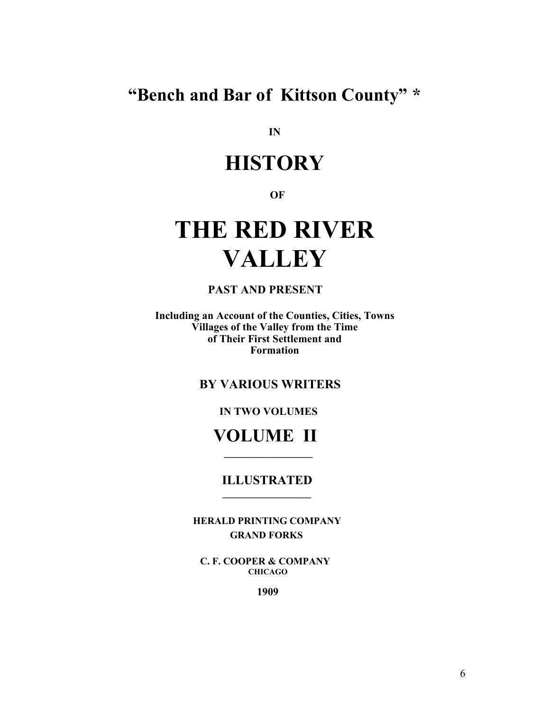"Bench and Bar of Kittson County" \*

IN

## **HISTORY**

**OF** 

# THE RED RIVER **VALLEY**

PAST AND PRESENT

Including an Account of the Counties, Cities, Towns Villages of the Valley from the Time of Their First Settlement and Formation

BY VARIOUS WRITERS

IN TWO VOLUMES

## VOLUME II

 $\mathcal{L}_\text{max}$  and  $\mathcal{L}_\text{max}$  and  $\mathcal{L}_\text{max}$  and  $\mathcal{L}_\text{max}$ 

 $\mathcal{L}_\text{max}$  and  $\mathcal{L}_\text{max}$  and  $\mathcal{L}_\text{max}$  and  $\mathcal{L}_\text{max}$  and  $\mathcal{L}_\text{max}$ 

### ILLUSTRATED

 HERALD PRINTING COMPANY GRAND FORKS

 C. F. COOPER & COMPANY CHICAGO

1909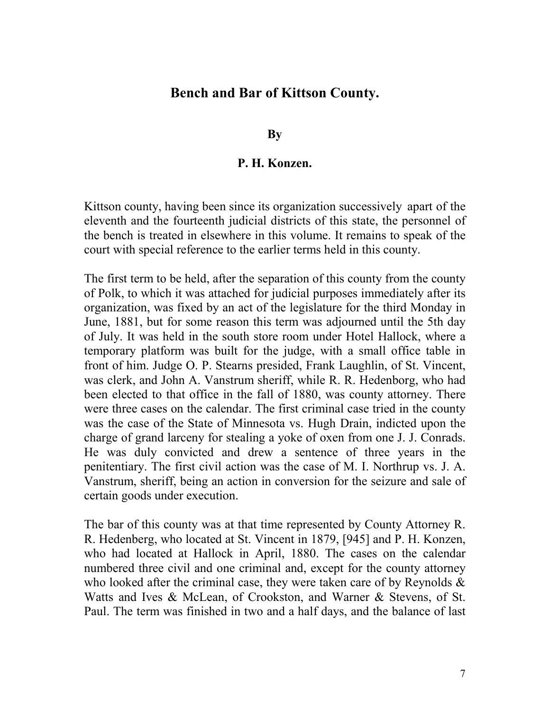### Bench and Bar of Kittson County.

**By** 

### P. H. Konzen.

Kittson county, having been since its organization successively apart of the eleventh and the fourteenth judicial districts of this state, the personnel of the bench is treated in elsewhere in this volume. It remains to speak of the court with special reference to the earlier terms held in this county.

The first term to be held, after the separation of this county from the county of Polk, to which it was attached for judicial purposes immediately after its organization, was fixed by an act of the legislature for the third Monday in June, 1881, but for some reason this term was adjourned until the 5th day of July. It was held in the south store room under Hotel Hallock, where a temporary platform was built for the judge, with a small office table in front of him. Judge O. P. Stearns presided, Frank Laughlin, of St. Vincent, was clerk, and John A. Vanstrum sheriff, while R. R. Hedenborg, who had been elected to that office in the fall of 1880, was county attorney. There were three cases on the calendar. The first criminal case tried in the county was the case of the State of Minnesota vs. Hugh Drain, indicted upon the charge of grand larceny for stealing a yoke of oxen from one J. J. Conrads. He was duly convicted and drew a sentence of three years in the penitentiary. The first civil action was the case of M. I. Northrup vs. J. A. Vanstrum, sheriff, being an action in conversion for the seizure and sale of certain goods under execution.

The bar of this county was at that time represented by County Attorney R. R. Hedenberg, who located at St. Vincent in 1879, [945] and P. H. Konzen, who had located at Hallock in April, 1880. The cases on the calendar numbered three civil and one criminal and, except for the county attorney who looked after the criminal case, they were taken care of by Reynolds  $\&$ Watts and Ives & McLean, of Crookston, and Warner & Stevens, of St. Paul. The term was finished in two and a half days, and the balance of last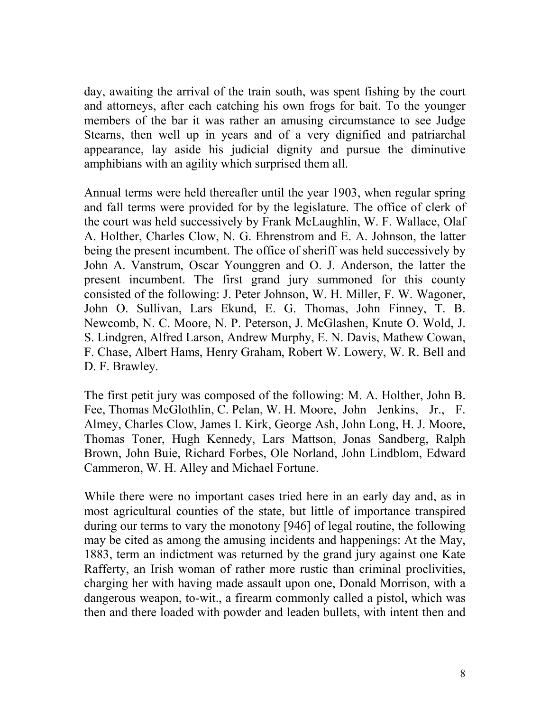day, awaiting the arrival of the train south, was spent fishing by the court and attorneys, after each catching his own frogs for bait. To the younger members of the bar it was rather an amusing circumstance to see Judge Stearns, then well up in years and of a very dignified and patriarchal appearance, lay aside his judicial dignity and pursue the diminutive amphibians with an agility which surprised them all.

Annual terms were held thereafter until the year 1903, when regular spring and fall terms were provided for by the legislature. The office of clerk of the court was held successively by Frank McLaughlin, W. F. Wallace, Olaf A. Holther, Charles Clow, N. G. Ehrenstrom and E. A. Johnson, the latter being the present incumbent. The office of sheriff was held successively by John A. Vanstrum, Oscar Younggren and O. J. Anderson, the latter the present incumbent. The first grand jury summoned for this county consisted of the following: J. Peter Johnson, W. H. Miller, F. W. Wagoner, John O. Sullivan, Lars Ekund, E. G. Thomas, John Finney, T. B. Newcomb, N. C. Moore, N. P. Peterson, J. McGlashen, Knute O. Wold, J. S. Lindgren, Alfred Larson, Andrew Murphy, E. N. Davis, Mathew Cowan, F. Chase, Albert Hams, Henry Graham, Robert W. Lowery, W. R. Bell and D. F. Brawley.

The first petit jury was composed of the following: M. A. Holther, John B. Fee, Thomas McGlothlin, C. Pelan, W. H. Moore, John Jenkins, Jr., F. Almey, Charles Clow, James I. Kirk, George Ash, John Long, H. J. Moore, Thomas Toner, Hugh Kennedy, Lars Mattson, Jonas Sandberg, Ralph Brown, John Buie, Richard Forbes, Ole Norland, John Lindblom, Edward Cammeron, W. H. Alley and Michael Fortune.

While there were no important cases tried here in an early day and, as in most agricultural counties of the state, but little of importance transpired during our terms to vary the monotony [946] of legal routine, the following may be cited as among the amusing incidents and happenings: At the May, 1883, term an indictment was returned by the grand jury against one Kate Rafferty, an Irish woman of rather more rustic than criminal proclivities, charging her with having made assault upon one, Donald Morrison, with a dangerous weapon, to-wit., a firearm commonly called a pistol, which was then and there loaded with powder and leaden bullets, with intent then and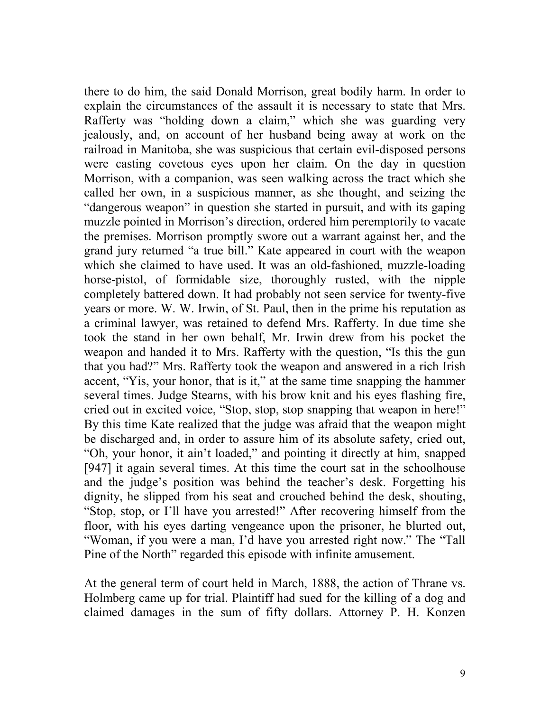there to do him, the said Donald Morrison, great bodily harm. In order to explain the circumstances of the assault it is necessary to state that Mrs. Rafferty was "holding down a claim," which she was guarding very jealously, and, on account of her husband being away at work on the railroad in Manitoba, she was suspicious that certain evil-disposed persons were casting covetous eyes upon her claim. On the day in question Morrison, with a companion, was seen walking across the tract which she called her own, in a suspicious manner, as she thought, and seizing the "dangerous weapon" in question she started in pursuit, and with its gaping muzzle pointed in Morrison's direction, ordered him peremptorily to vacate the premises. Morrison promptly swore out a warrant against her, and the grand jury returned "a true bill." Kate appeared in court with the weapon which she claimed to have used. It was an old-fashioned, muzzle-loading horse-pistol, of formidable size, thoroughly rusted, with the nipple completely battered down. It had probably not seen service for twenty-five years or more. W. W. Irwin, of St. Paul, then in the prime his reputation as a criminal lawyer, was retained to defend Mrs. Rafferty. In due time she took the stand in her own behalf, Mr. Irwin drew from his pocket the weapon and handed it to Mrs. Rafferty with the question, "Is this the gun that you had?" Mrs. Rafferty took the weapon and answered in a rich Irish accent, "Yis, your honor, that is it," at the same time snapping the hammer several times. Judge Stearns, with his brow knit and his eyes flashing fire, cried out in excited voice, "Stop, stop, stop snapping that weapon in here!" By this time Kate realized that the judge was afraid that the weapon might be discharged and, in order to assure him of its absolute safety, cried out, "Oh, your honor, it ain't loaded," and pointing it directly at him, snapped [947] it again several times. At this time the court sat in the schoolhouse and the judge's position was behind the teacher's desk. Forgetting his dignity, he slipped from his seat and crouched behind the desk, shouting, "Stop, stop, or I'll have you arrested!" After recovering himself from the floor, with his eyes darting vengeance upon the prisoner, he blurted out, "Woman, if you were a man, I'd have you arrested right now." The "Tall Pine of the North" regarded this episode with infinite amusement.

At the general term of court held in March, 1888, the action of Thrane vs. Holmberg came up for trial. Plaintiff had sued for the killing of a dog and claimed damages in the sum of fifty dollars. Attorney P. H. Konzen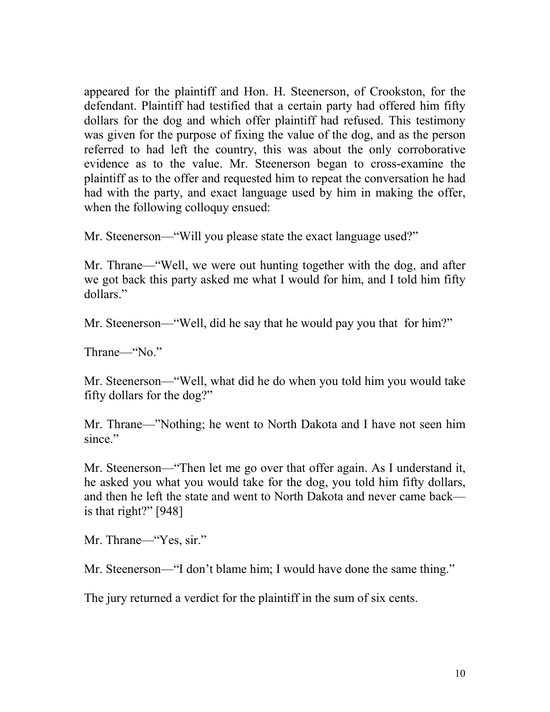appeared for the plaintiff and Hon. H. Steenerson, of Crookston, for the defendant. Plaintiff had testified that a certain party had offered him fifty dollars for the dog and which offer plaintiff had refused. This testimony was given for the purpose of fixing the value of the dog, and as the person referred to had left the country, this was about the only corroborative evidence as to the value. Mr. Steenerson began to cross-examine the plaintiff as to the offer and requested him to repeat the conversation he had had with the party, and exact language used by him in making the offer, when the following colloquy ensued:

Mr. Steenerson—"Will you please state the exact language used?"

Mr. Thrane—"Well, we were out hunting together with the dog, and after we got back this party asked me what I would for him, and I told him fifty dollars."

Mr. Steenerson—"Well, did he say that he would pay you that for him?"

Thrane—"No."

Mr. Steenerson—"Well, what did he do when you told him you would take fifty dollars for the dog?"

Mr. Thrane—"Nothing; he went to North Dakota and I have not seen him since."

Mr. Steenerson—"Then let me go over that offer again. As I understand it, he asked you what you would take for the dog, you told him fifty dollars, and then he left the state and went to North Dakota and never came back is that right?" [948]

Mr. Thrane—"Yes, sir."

Mr. Steenerson—"I don't blame him; I would have done the same thing."

The jury returned a verdict for the plaintiff in the sum of six cents.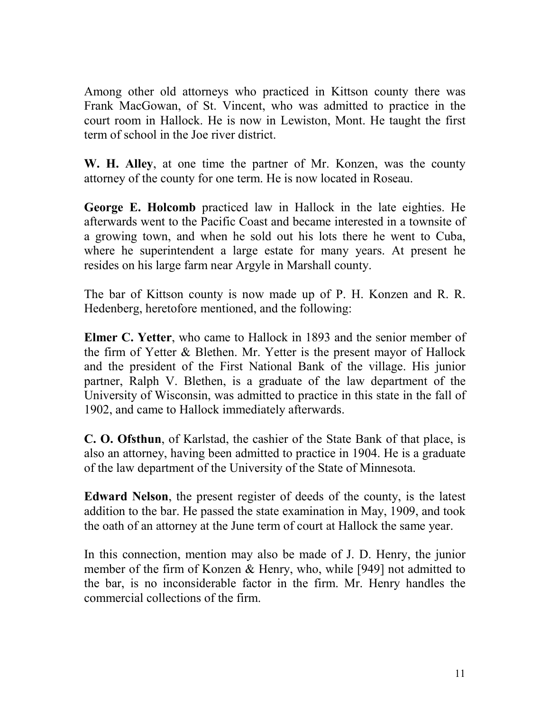Among other old attorneys who practiced in Kittson county there was Frank MacGowan, of St. Vincent, who was admitted to practice in the court room in Hallock. He is now in Lewiston, Mont. He taught the first term of school in the Joe river district.

W. H. Alley, at one time the partner of Mr. Konzen, was the county attorney of the county for one term. He is now located in Roseau.

George E. Holcomb practiced law in Hallock in the late eighties. He afterwards went to the Pacific Coast and became interested in a townsite of a growing town, and when he sold out his lots there he went to Cuba, where he superintendent a large estate for many years. At present he resides on his large farm near Argyle in Marshall county.

The bar of Kittson county is now made up of P. H. Konzen and R. R. Hedenberg, heretofore mentioned, and the following:

Elmer C. Yetter, who came to Hallock in 1893 and the senior member of the firm of Yetter & Blethen. Mr. Yetter is the present mayor of Hallock and the president of the First National Bank of the village. His junior partner, Ralph V. Blethen, is a graduate of the law department of the University of Wisconsin, was admitted to practice in this state in the fall of 1902, and came to Hallock immediately afterwards.

C. O. Ofsthun, of Karlstad, the cashier of the State Bank of that place, is also an attorney, having been admitted to practice in 1904. He is a graduate of the law department of the University of the State of Minnesota.

Edward Nelson, the present register of deeds of the county, is the latest addition to the bar. He passed the state examination in May, 1909, and took the oath of an attorney at the June term of court at Hallock the same year.

In this connection, mention may also be made of J. D. Henry, the junior member of the firm of Konzen & Henry, who, while [949] not admitted to the bar, is no inconsiderable factor in the firm. Mr. Henry handles the commercial collections of the firm.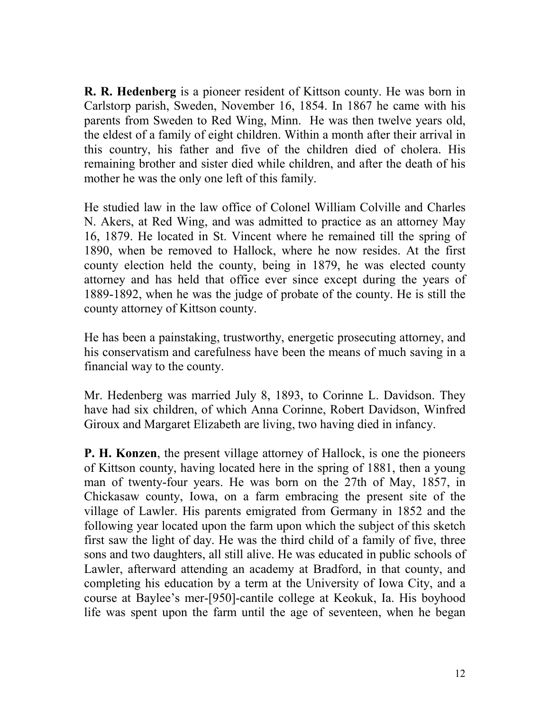R. R. Hedenberg is a pioneer resident of Kittson county. He was born in Carlstorp parish, Sweden, November 16, 1854. In 1867 he came with his parents from Sweden to Red Wing, Minn. He was then twelve years old, the eldest of a family of eight children. Within a month after their arrival in this country, his father and five of the children died of cholera. His remaining brother and sister died while children, and after the death of his mother he was the only one left of this family.

He studied law in the law office of Colonel William Colville and Charles N. Akers, at Red Wing, and was admitted to practice as an attorney May 16, 1879. He located in St. Vincent where he remained till the spring of 1890, when be removed to Hallock, where he now resides. At the first county election held the county, being in 1879, he was elected county attorney and has held that office ever since except during the years of 1889-1892, when he was the judge of probate of the county. He is still the county attorney of Kittson county.

He has been a painstaking, trustworthy, energetic prosecuting attorney, and his conservatism and carefulness have been the means of much saving in a financial way to the county.

Mr. Hedenberg was married July 8, 1893, to Corinne L. Davidson. They have had six children, of which Anna Corinne, Robert Davidson, Winfred Giroux and Margaret Elizabeth are living, two having died in infancy.

P. H. Konzen, the present village attorney of Hallock, is one the pioneers of Kittson county, having located here in the spring of 1881, then a young man of twenty-four years. He was born on the 27th of May, 1857, in Chickasaw county, Iowa, on a farm embracing the present site of the village of Lawler. His parents emigrated from Germany in 1852 and the following year located upon the farm upon which the subject of this sketch first saw the light of day. He was the third child of a family of five, three sons and two daughters, all still alive. He was educated in public schools of Lawler, afterward attending an academy at Bradford, in that county, and completing his education by a term at the University of Iowa City, and a course at Baylee's mer-[950]-cantile college at Keokuk, Ia. His boyhood life was spent upon the farm until the age of seventeen, when he began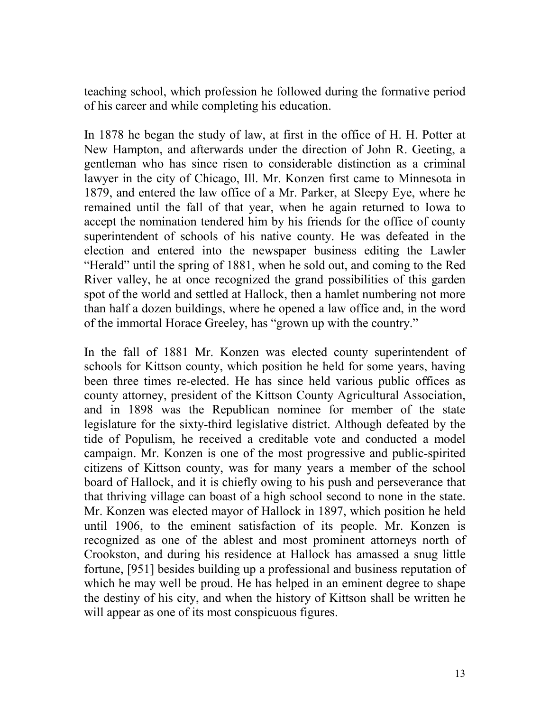teaching school, which profession he followed during the formative period of his career and while completing his education.

In 1878 he began the study of law, at first in the office of H. H. Potter at New Hampton, and afterwards under the direction of John R. Geeting, a gentleman who has since risen to considerable distinction as a criminal lawyer in the city of Chicago, Ill. Mr. Konzen first came to Minnesota in 1879, and entered the law office of a Mr. Parker, at Sleepy Eye, where he remained until the fall of that year, when he again returned to Iowa to accept the nomination tendered him by his friends for the office of county superintendent of schools of his native county. He was defeated in the election and entered into the newspaper business editing the Lawler "Herald" until the spring of 1881, when he sold out, and coming to the Red River valley, he at once recognized the grand possibilities of this garden spot of the world and settled at Hallock, then a hamlet numbering not more than half a dozen buildings, where he opened a law office and, in the word of the immortal Horace Greeley, has "grown up with the country."

In the fall of 1881 Mr. Konzen was elected county superintendent of schools for Kittson county, which position he held for some years, having been three times re-elected. He has since held various public offices as county attorney, president of the Kittson County Agricultural Association, and in 1898 was the Republican nominee for member of the state legislature for the sixty-third legislative district. Although defeated by the tide of Populism, he received a creditable vote and conducted a model campaign. Mr. Konzen is one of the most progressive and public-spirited citizens of Kittson county, was for many years a member of the school board of Hallock, and it is chiefly owing to his push and perseverance that that thriving village can boast of a high school second to none in the state. Mr. Konzen was elected mayor of Hallock in 1897, which position he held until 1906, to the eminent satisfaction of its people. Mr. Konzen is recognized as one of the ablest and most prominent attorneys north of Crookston, and during his residence at Hallock has amassed a snug little fortune, [951] besides building up a professional and business reputation of which he may well be proud. He has helped in an eminent degree to shape the destiny of his city, and when the history of Kittson shall be written he will appear as one of its most conspicuous figures.